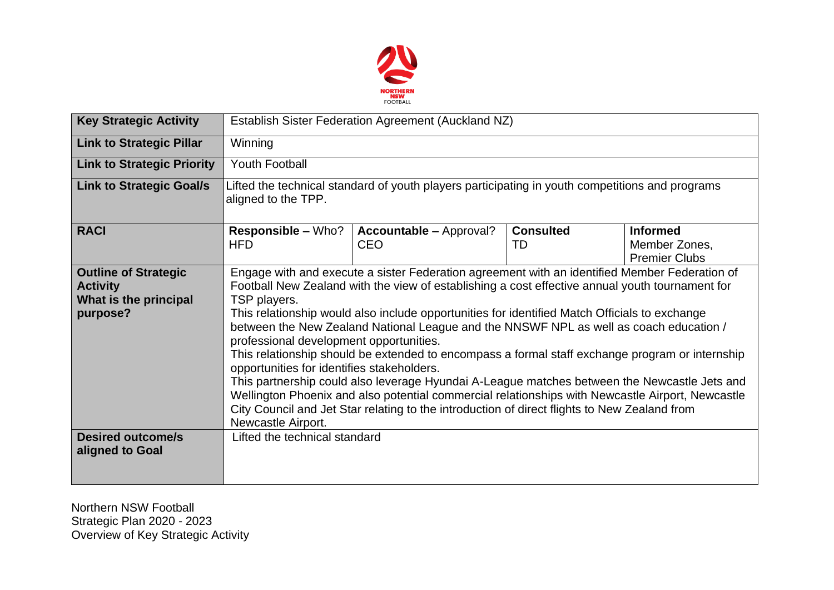

| <b>Key Strategic Activity</b>                                                       | Establish Sister Federation Agreement (Auckland NZ)                                                                                                                                                                                                                                                                                                                                                                                                                                                                                                                                                                                                                                                                                                                                                                                                                                                                               |                                       |                        |                                                          |  |  |  |  |
|-------------------------------------------------------------------------------------|-----------------------------------------------------------------------------------------------------------------------------------------------------------------------------------------------------------------------------------------------------------------------------------------------------------------------------------------------------------------------------------------------------------------------------------------------------------------------------------------------------------------------------------------------------------------------------------------------------------------------------------------------------------------------------------------------------------------------------------------------------------------------------------------------------------------------------------------------------------------------------------------------------------------------------------|---------------------------------------|------------------------|----------------------------------------------------------|--|--|--|--|
| <b>Link to Strategic Pillar</b>                                                     | Winning                                                                                                                                                                                                                                                                                                                                                                                                                                                                                                                                                                                                                                                                                                                                                                                                                                                                                                                           |                                       |                        |                                                          |  |  |  |  |
| <b>Link to Strategic Priority</b>                                                   | <b>Youth Football</b>                                                                                                                                                                                                                                                                                                                                                                                                                                                                                                                                                                                                                                                                                                                                                                                                                                                                                                             |                                       |                        |                                                          |  |  |  |  |
| <b>Link to Strategic Goal/s</b>                                                     | Lifted the technical standard of youth players participating in youth competitions and programs<br>aligned to the TPP.                                                                                                                                                                                                                                                                                                                                                                                                                                                                                                                                                                                                                                                                                                                                                                                                            |                                       |                        |                                                          |  |  |  |  |
| <b>RACI</b>                                                                         | <b>Responsible – Who?</b><br><b>HFD</b>                                                                                                                                                                                                                                                                                                                                                                                                                                                                                                                                                                                                                                                                                                                                                                                                                                                                                           | <b>Accountable – Approval?</b><br>CEO | <b>Consulted</b><br>TD | <b>Informed</b><br>Member Zones,<br><b>Premier Clubs</b> |  |  |  |  |
| <b>Outline of Strategic</b><br><b>Activity</b><br>What is the principal<br>purpose? | Engage with and execute a sister Federation agreement with an identified Member Federation of<br>Football New Zealand with the view of establishing a cost effective annual youth tournament for<br>TSP players.<br>This relationship would also include opportunities for identified Match Officials to exchange<br>between the New Zealand National League and the NNSWF NPL as well as coach education /<br>professional development opportunities.<br>This relationship should be extended to encompass a formal staff exchange program or internship<br>opportunities for identifies stakeholders.<br>This partnership could also leverage Hyundai A-League matches between the Newcastle Jets and<br>Wellington Phoenix and also potential commercial relationships with Newcastle Airport, Newcastle<br>City Council and Jet Star relating to the introduction of direct flights to New Zealand from<br>Newcastle Airport. |                                       |                        |                                                          |  |  |  |  |
| <b>Desired outcome/s</b><br>aligned to Goal                                         | Lifted the technical standard                                                                                                                                                                                                                                                                                                                                                                                                                                                                                                                                                                                                                                                                                                                                                                                                                                                                                                     |                                       |                        |                                                          |  |  |  |  |

Northern NSW Football Strategic Plan 2020 - 2023 Overview of Key Strategic Activity